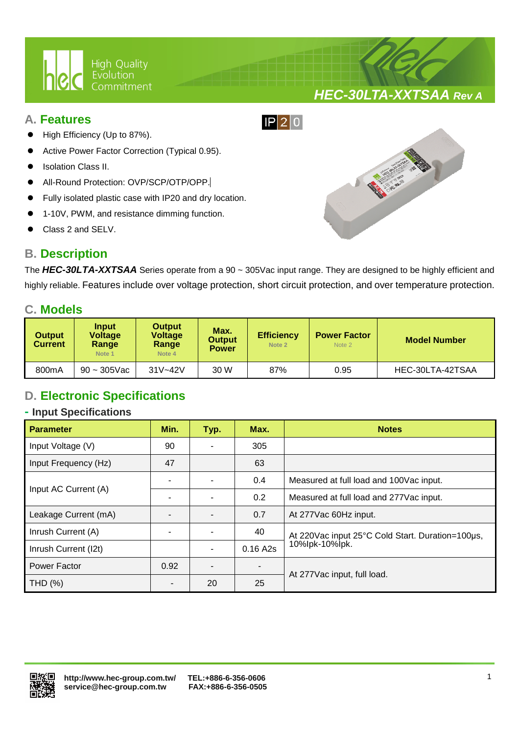

## **A. Features**

- High Efficiency (Up to 87%).
- Active Power Factor Correction (Typical 0.95).
- Isolation Class II.
- All-Round Protection: OVP/SCP/OTP/OPP.
- Fully isolated plastic case with IP20 and dry location.

Ī

- 1-10V, PWM, and resistance dimming function.
- Class 2 and SELV.

## **B. Description**



**HEC-30LTA-XXTSAA Rev A**

The **HEC-30LTA-XXTSAA** Series operate from a 90 ~ 305Vac input range. They are designed to be highly efficient and highly reliable. Features include over voltage protection, short circuit protection, and over temperature protection.

 $IP$  20

## **C. Models**

| Output<br><b>Current</b> | <b>Input</b><br>Voltage<br>Range<br>Note 1 | <b>Output</b><br><b>Voltage</b><br>Range<br>Note 4 | Max.<br><b>Output</b><br><b>Power</b> | <b>Efficiency</b><br>Note 2 | <b>Power Factor</b><br>Note 2 | <b>Model Number</b> |
|--------------------------|--------------------------------------------|----------------------------------------------------|---------------------------------------|-----------------------------|-------------------------------|---------------------|
| 800mA                    | $90 - 305$ Vac                             | $31V - 42V$                                        | 30 W                                  | 87%                         | 0.95                          | HEC-30LTA-42TSAA    |

# **D. Electronic Specifications**

#### **- Input Specifications**

| <b>Parameter</b>     | Min. | Typ. | Max.                     | <b>Notes</b>                                     |  |
|----------------------|------|------|--------------------------|--------------------------------------------------|--|
| Input Voltage (V)    | 90   |      | 305                      |                                                  |  |
| Input Frequency (Hz) | 47   |      | 63                       |                                                  |  |
| Input AC Current (A) |      |      | 0.4                      | Measured at full load and 100 Vac input.         |  |
|                      |      |      | 0.2                      | Measured at full load and 277Vac input.          |  |
| Leakage Current (mA) |      |      | 0.7                      | At 277 Vac 60Hz input.                           |  |
| Inrush Current (A)   |      |      | 40                       | At 220Vac input 25°C Cold Start. Duration=100µs, |  |
| Inrush Current (I2t) |      |      | 0.16A2s                  | 10%lpk-10%lpk.                                   |  |
| Power Factor         | 0.92 |      | $\overline{\phantom{a}}$ |                                                  |  |
| THD (%)              |      | 20   | 25                       | At 277 Vac input, full load.                     |  |

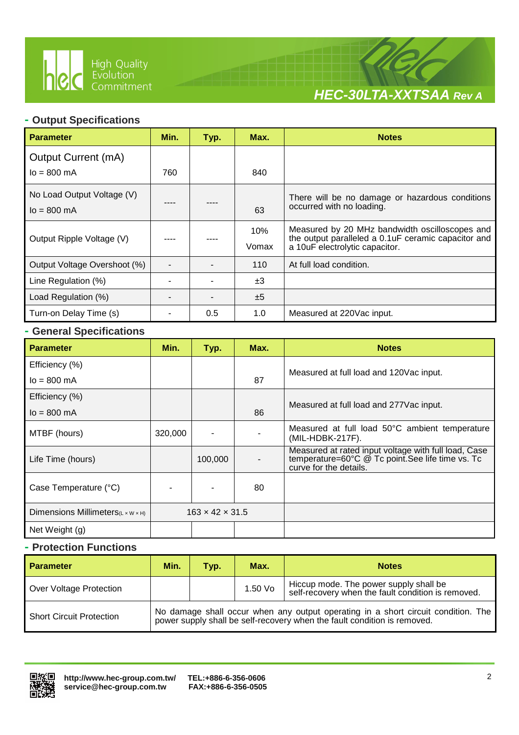

Ī



### **- Output Specifications**

| <b>Parameter</b>                                     | Min. | Typ. | Max.         | <b>Notes</b>                                                                                                                            |
|------------------------------------------------------|------|------|--------------|-----------------------------------------------------------------------------------------------------------------------------------------|
| Output Current (mA)                                  |      |      |              |                                                                                                                                         |
| $I_0 = 800$ mA                                       | 760  |      | 840          |                                                                                                                                         |
| No Load Output Voltage (V)<br>$I_0 = 800 \text{ mA}$ |      |      | 63           | There will be no damage or hazardous conditions<br>occurred with no loading.                                                            |
| Output Ripple Voltage (V)                            |      |      | 10%<br>Vomax | Measured by 20 MHz bandwidth oscilloscopes and<br>the output paralleled a 0.1uF ceramic capacitor and<br>a 10uF electrolytic capacitor. |
| Output Voltage Overshoot (%)                         |      |      | 110          | At full load condition.                                                                                                                 |
| Line Regulation (%)                                  |      |      | ±3           |                                                                                                                                         |
| Load Regulation (%)                                  |      |      | ±5           |                                                                                                                                         |
| Turn-on Delay Time (s)                               |      | 0.5  | 1.0          | Measured at 220Vac input.                                                                                                               |

#### **- General Specifications**

| <b>Parameter</b>                               | Min.    | Typ.                        | Max. | <b>Notes</b>                                                                                                                        |  |
|------------------------------------------------|---------|-----------------------------|------|-------------------------------------------------------------------------------------------------------------------------------------|--|
| Efficiency (%)                                 |         |                             |      |                                                                                                                                     |  |
| $I_0 = 800 \text{ mA}$                         |         |                             | 87   | Measured at full load and 120 Vac input.                                                                                            |  |
| Efficiency (%)                                 |         |                             |      |                                                                                                                                     |  |
| $I_0 = 800 \text{ mA}$                         |         |                             | 86   | Measured at full load and 277 Vac input.                                                                                            |  |
| MTBF (hours)                                   | 320,000 |                             |      | Measured at full load 50°C ambient temperature<br>(MIL-HDBK-217F).                                                                  |  |
| Life Time (hours)                              |         | 100,000                     |      | Measured at rated input voltage with full load, Case<br>temperature=60°C @ Tc point. See life time vs. Tc<br>curve for the details. |  |
| Case Temperature (°C)                          |         |                             | 80   |                                                                                                                                     |  |
| Dimensions Millimeters $(L \times W \times H)$ |         | $163 \times 42 \times 31.5$ |      |                                                                                                                                     |  |
| Net Weight (g)                                 |         |                             |      |                                                                                                                                     |  |

#### **- Protection Functions**

| <b>Parameter</b>                | Min.                                                                                                                                                          | Tvp. | Max.    | <b>Notes</b>                                                                                 |
|---------------------------------|---------------------------------------------------------------------------------------------------------------------------------------------------------------|------|---------|----------------------------------------------------------------------------------------------|
| Over Voltage Protection         |                                                                                                                                                               |      | 1.50 Vo | Hiccup mode. The power supply shall be<br>self-recovery when the fault condition is removed. |
| <b>Short Circuit Protection</b> | No damage shall occur when any output operating in a short circuit condition. The<br>power supply shall be self-recovery when the fault condition is removed. |      |         |                                                                                              |

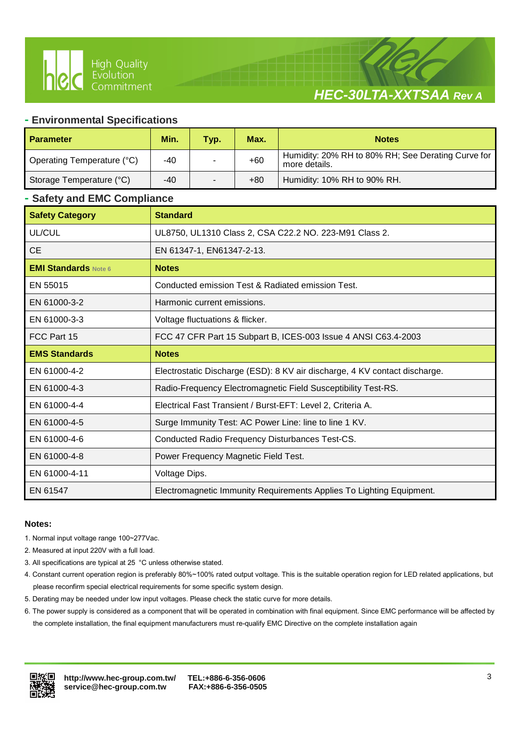



#### **- Environmental Specifications**

Ī

| <b>Parameter</b>           | Min. | Typ. | Max.  | <b>Notes</b>                                                        |
|----------------------------|------|------|-------|---------------------------------------------------------------------|
| Operating Temperature (°C) | -40  |      | $+60$ | Humidity: 20% RH to 80% RH; See Derating Curve for<br>more details. |
| Storage Temperature (°C)   | -40  |      | $+80$ | Humidity: 10% RH to 90% RH.                                         |

#### **- Safety and EMC Compliance**

| <b>Safety Category</b>      | <b>Standard</b>                                                            |
|-----------------------------|----------------------------------------------------------------------------|
| UL/CUL                      | UL8750, UL1310 Class 2, CSA C22.2 NO. 223-M91 Class 2.                     |
| <b>CE</b>                   | EN 61347-1, EN61347-2-13.                                                  |
| <b>EMI Standards Note 6</b> | <b>Notes</b>                                                               |
| EN 55015                    | Conducted emission Test & Radiated emission Test.                          |
| EN 61000-3-2                | Harmonic current emissions.                                                |
| EN 61000-3-3                | Voltage fluctuations & flicker.                                            |
| FCC Part 15                 | FCC 47 CFR Part 15 Subpart B, ICES-003 Issue 4 ANSI C63.4-2003             |
| <b>EMS Standards</b>        | <b>Notes</b>                                                               |
| EN 61000-4-2                | Electrostatic Discharge (ESD): 8 KV air discharge, 4 KV contact discharge. |
| EN 61000-4-3                | Radio-Frequency Electromagnetic Field Susceptibility Test-RS.              |
| EN 61000-4-4                | Electrical Fast Transient / Burst-EFT: Level 2, Criteria A.                |
| EN 61000-4-5                | Surge Immunity Test: AC Power Line: line to line 1 KV.                     |
| EN 61000-4-6                | Conducted Radio Frequency Disturbances Test-CS.                            |
| EN 61000-4-8                | Power Frequency Magnetic Field Test.                                       |
| EN 61000-4-11               | Voltage Dips.                                                              |
| EN 61547                    | Electromagnetic Immunity Requirements Applies To Lighting Equipment.       |

#### **Notes:**

- 1. Normal input voltage range 100~277Vac.
- 2. Measured at input 220V with a full load.
- 3. All specifications are typical at 25 °C unless otherwise stated.
- 4. Constant current operation region is preferably 80%~100% rated output voltage. This is the suitable operation region for LED related applications, but please reconfirm special electrical requirements for some specific system design.
- 5. Derating may be needed under low input voltages. Please check the static curve for more details.
- 6. The power supply is considered as a component that will be operated in combination with final equipment. Since EMC performance will be affected by the complete installation, the final equipment manufacturers must re-qualify EMC Directive on the complete installation again

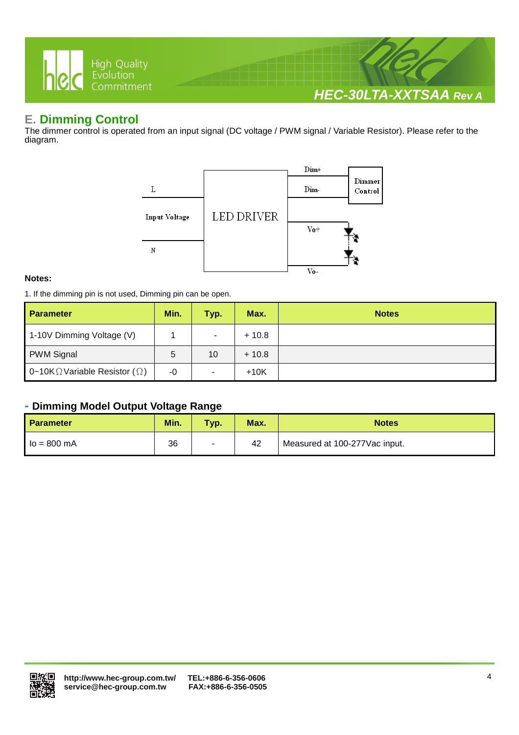

## **E. Dimming Control**

The dimmer control is operated from an input signal (DC voltage / PWM signal / Variable Resistor). Please refer to the diagram.



#### **Notes:**

1. If the dimming pin is not used, Dimming pin can be open.

| <b>Parameter</b>                              | Min. | Typ.           | Max.    | <b>Notes</b> |
|-----------------------------------------------|------|----------------|---------|--------------|
| 1-10V Dimming Voltage (V)                     |      | ۰.             | $+10.8$ |              |
| <b>PWM Signal</b>                             | 5    | 10             | $+10.8$ |              |
| 0~10K $\Omega$ Variable Resistor ( $\Omega$ ) | $-0$ | $\blacksquare$ | $+10K$  |              |

#### **- Dimming Model Output Voltage Range**

| Parameter     | Min. | Typ.   | Max. | <b>Notes</b>                  |
|---------------|------|--------|------|-------------------------------|
| $lo = 800 mA$ | 36   | $\sim$ | 42   | Measured at 100-277Vac input. |

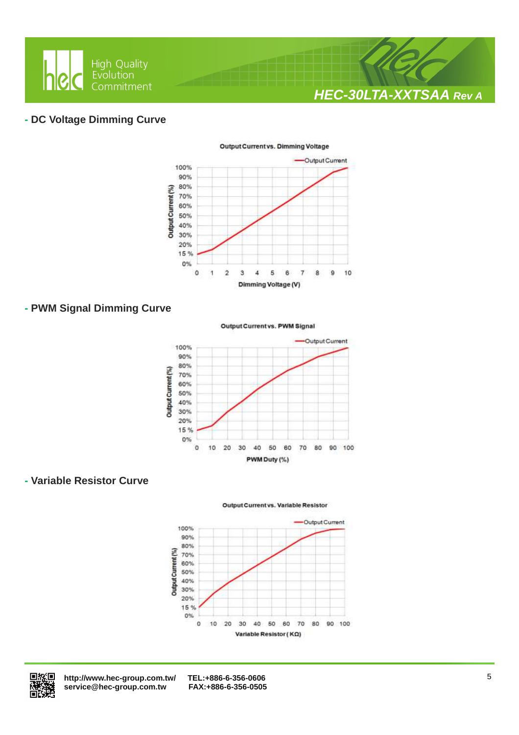

#### **- DC Voltage Dimming Curve**



#### **- PWM Signal Dimming Curve**

Output Current vs. PWM Signal



### **- Variable Resistor Curve**

Output Current vs. Variable Resistor





 **http://www.hec-group.com.tw/ TEL:+886-6-356-0606**   $s$ ervice@hec-group.com.tw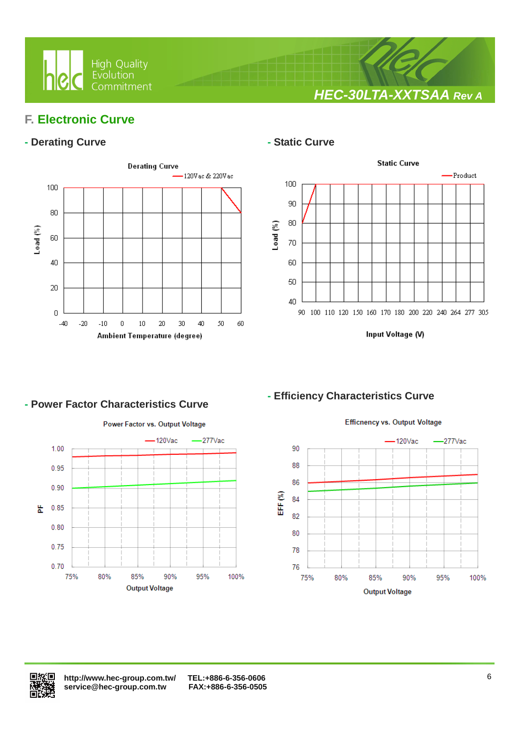

**HEC-30LTA-XXTSAA Rev A**

## **F. Electronic Curve**

## **- Derating Curve 1988 1999 <b>- Static Curve**



Ī



Input Voltage (V)

### **- Power Factor Characteristics Curve**

Power Factor vs. Output Voltage



# **- Efficiency Characteristics Curve**



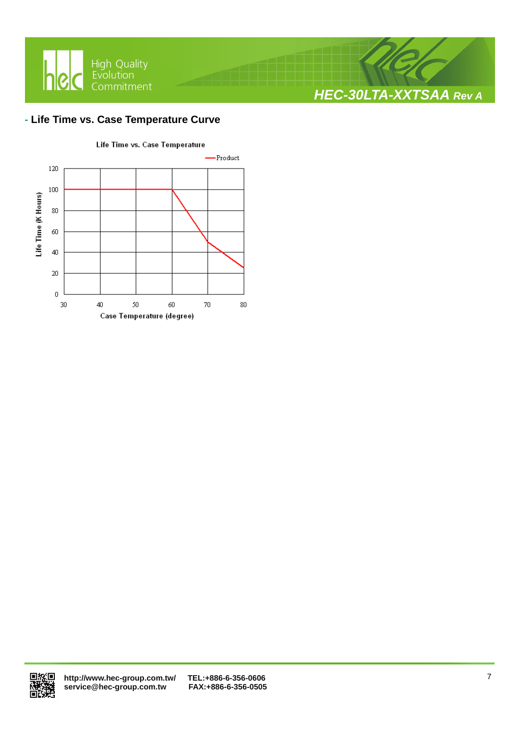

#### **- Life Time vs. Case Temperature Curve**